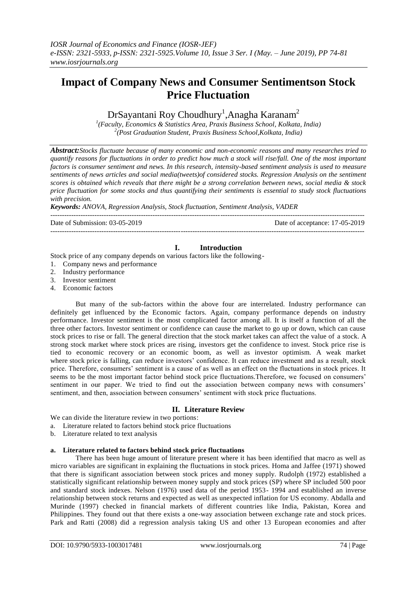# **Impact of Company News and Consumer Sentimentson Stock Price Fluctuation**

 $DrS$ ayantani Roy Choudhury<sup>1</sup>, Anagha Karanam<sup>2</sup>

*1 (Faculty, Economics & Statistics Area, Praxis Business School, Kolkata, India) 2 (Post Graduation Student, Praxis Business School,Kolkata, India)*

*Abstract:Stocks fluctuate because of many economic and non-economic reasons and many researches tried to quantify reasons for fluctuations in order to predict how much a stock will rise/fall. One of the most important factors is consumer sentiment and news. In this research, intensity-based sentiment analysis is used to measure sentiments of news articles and social media(tweets)of considered stocks. Regression Analysis on the sentiment scores is obtained which reveals that there might be a strong correlation between news, social media & stock price fluctuation for some stocks and thus quantifying their sentiments is essential to study stock fluctuations with precision.*

*Keywords: ANOVA, Regression Analysis, Stock fluctuation, Sentiment Analysis, VADER*

--------------------------------------------------------------------------------------------------------------------------------------- Date of Submission: 03-05-2019 Date of acceptance: 17-05-2019 ---------------------------------------------------------------------------------------------------------------------------------------

# **I. Introduction**

Stock price of any company depends on various factors like the following-

- 1. Company news and performance
- 2. Industry performance
- 3. Investor sentiment
- 4. Economic factors

But many of the sub-factors within the above four are interrelated. Industry performance can definitely get influenced by the Economic factors. Again, company performance depends on industry performance. Investor sentiment is the most complicated factor among all. It is itself a function of all the three other factors. Investor sentiment or confidence can cause the market to go up or down, which can cause stock prices to rise or fall. The general direction that the stock market takes can affect the value of a stock. A strong stock market where stock prices are rising, investors get the confidence to invest. Stock price rise is tied to economic recovery or an economic boom, as well as investor optimism. A weak market where stock price is falling, can reduce investors' confidence. It can reduce investment and as a result, stock price. Therefore, consumers" sentiment is a cause of as well as an effect on the fluctuations in stock prices. It seems to be the most important factor behind stock price fluctuations.Therefore, we focused on consumers" sentiment in our paper. We tried to find out the association between company news with consumers' sentiment, and then, association between consumers' sentiment with stock price fluctuations.

# **II. Literature Review**

We can divide the literature review in two portions:

- a. Literature related to factors behind stock price fluctuations
- b. Literature related to text analysis

# **a. Literature related to factors behind stock price fluctuations**

There has been huge amount of literature present where it has been identified that macro as well as micro variables are significant in explaining the fluctuations in stock prices. Homa and Jaffee (1971) showed that there is significant association between stock prices and money supply. Rudolph (1972) established a statistically significant relationship between money supply and stock prices (SP) where SP included 500 poor and standard stock indexes. Nelson (1976) used data of the period 1953- 1994 and established an inverse relationship between stock returns and expected as well as unexpected inflation for US economy. Abdalla and Murinde (1997) checked in financial markets of different countries like India, Pakistan, Korea and Philippines. They found out that there exists a one-way association between exchange rate and stock prices. Park and Ratti (2008) did a regression analysis taking US and other 13 European economies and after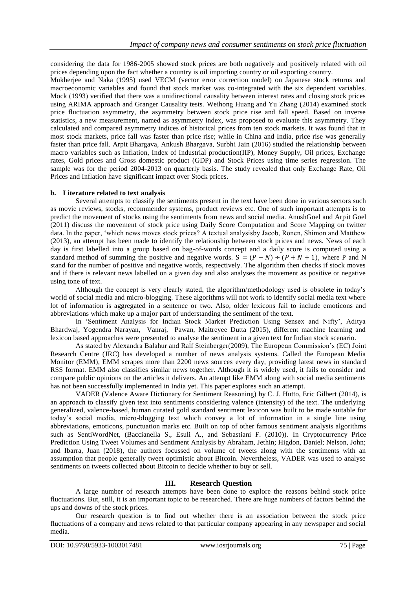considering the data for 1986-2005 showed stock prices are both negatively and positively related with oil prices depending upon the fact whether a country is oil importing country or oil exporting country.

Mukherjee and Naka (1995) used VECM (vector error correction model) on Japanese stock returns and macroeconomic variables and found that stock market was co-integrated with the six dependent variables. Mock (1993) verified that there was a unidirectional causality between interest rates and closing stock prices using ARIMA approach and Granger Causality tests. Weihong Huang and Yu Zhang (2014) examined stock price fluctuation asymmetry, the asymmetry between stock price rise and fall speed. Based on inverse statistics, a new measurement, named as asymmetry index, was proposed to evaluate this asymmetry. They calculated and compared asymmetry indices of historical prices from ten stock markets. It was found that in most stock markets, price fall was faster than price rise; while in China and India, price rise was generally faster than price fall. Arpit Bhargava, Ankush Bhargava, Surbhi Jain (2016) studied the relationship between macro variables such as Inflation, Index of Industrial production(IIP), Money Supply, Oil prices, Exchange rates, Gold prices and Gross domestic product (GDP) and Stock Prices using time series regression. The sample was for the period 2004-2013 on quarterly basis. The study revealed that only Exchange Rate, Oil Prices and Inflation have significant impact over Stock prices.

## **b. Literature related to text analysis**

Several attempts to classify the sentiments present in the text have been done in various sectors such as movie reviews, stocks, recommender systems, product reviews etc. One of such important attempts is to predict the movement of stocks using the sentiments from news and social media. AnushGoel and Arpit Goel (2011) discuss the movement of stock price using Daily Score Computation and Score Mapping on twitter data. In the paper, "which news moves stock prices? A textual analysisby Jacob, Ronen, Shimon and Matthew (2013), an attempt has been made to identify the relationship between stock prices and news. News of each day is first labelled into a group based on bag-of-words concept and a daily score is computed using a standard method of summing the positive and negative words.  $S = (P - N) \div (P + N + 1)$ , where P and N stand for the number of positive and negative words, respectively. The algorithm then checks if stock moves and if there is relevant news labelled on a given day and also analyses the movement as positive or negative using tone of text.

Although the concept is very clearly stated, the algorithm/methodology used is obsolete in today"s world of social media and micro-blogging. These algorithms will not work to identify social media text where lot of information is aggregated in a sentence or two. Also, older lexicons fail to include emoticons and abbreviations which make up a major part of understanding the sentiment of the text.

In "Sentiment Analysis for Indian Stock Market Prediction Using Sensex and Nifty", Aditya Bhardwaj, Yogendra Narayan, Vanraj, Pawan, Maitreyee Dutta (2015), different machine learning and lexicon based approaches were presented to analyse the sentiment in a given text for Indian stock scenario.

As stated by Alexandra Balahur and Ralf Steinberger(2009), The European Commission"s (EC) Joint Research Centre (JRC) has developed a number of news analysis systems. Called the European Media Monitor (EMM), EMM scrapes more than 2200 news sources every day, providing latest news in standard RSS format. EMM also classifies similar news together. Although it is widely used, it fails to consider and compare public opinions on the articles it delivers. An attempt like EMM along with social media sentiments has not been successfully implemented in India yet. This paper explores such an attempt.

VADER (Valence Aware Dictionary for Sentiment Reasoning) by C. J. Hutto, Eric Gilbert (2014), is an approach to classify given text into sentiments considering valence (intensity) of the text. The underlying generalized, valence-based, human curated gold standard sentiment lexicon was built to be made suitable for today"s social media, micro-blogging text which convey a lot of information in a single line using abbreviations, emoticons, punctuation marks etc. Built on top of other famous sentiment analysis algorithms such as SentiWordNet, (Baccianella S., Esuli A., and Sebastiani F. (2010)). In Cryptocurrency Price Prediction Using Tweet Volumes and Sentiment Analysis by Abraham, Jethin; Higdon, Daniel; Nelson, John; and Ibarra, Juan (2018), the authors focussed on volume of tweets along with the sentiments with an assumption that people generally tweet optimistic about Bitcoin. Nevertheless, VADER was used to analyse sentiments on tweets collected about Bitcoin to decide whether to buy or sell.

# **III. Research Question**

A large number of research attempts have been done to explore the reasons behind stock price fluctuations. But, still, it is an important topic to be researched. There are huge numbers of factors behind the ups and downs of the stock prices.

Our research question is to find out whether there is an association between the stock price fluctuations of a company and news related to that particular company appearing in any newspaper and social media.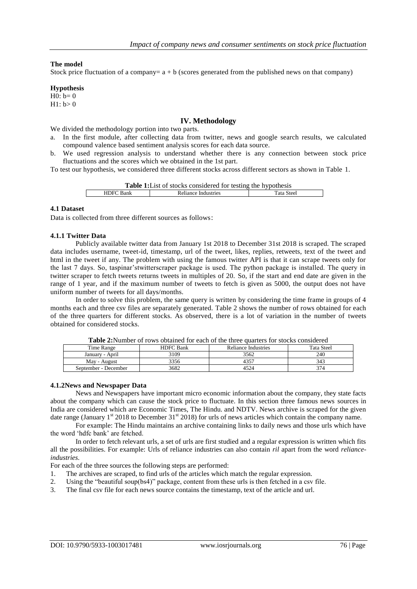#### **The model**

Stock price fluctuation of a company=  $a + b$  (scores generated from the published news on that company)

#### **Hypothesis**

 $H0: b=0$  $H1: b > 0$ 

## **IV. Methodology**

We divided the methodology portion into two parts.

- a. In the first module, after collecting data from twitter, news and google search results, we calculated compound valence based sentiment analysis scores for each data source.
- b. We used regression analysis to understand whether there is any connection between stock price fluctuations and the scores which we obtained in the 1st part.

To test our hypothesis, we considered three different stocks across different sectors as shown in Table 1.

**Table 1:**List of stocks considered for testing the hypothesis HDFC Bank Reliance Industries Tata Steel

#### **4.1 Dataset**

Data is collected from three different sources as follows:

#### **4.1.1 Twitter Data**

Publicly available twitter data from January 1st 2018 to December 31st 2018 is scraped. The scraped data includes username, tweet-id, timestamp, url of the tweet, likes, replies, retweets, text of the tweet and html in the tweet if any. The problem with using the famous twitter API is that it can scrape tweets only for the last 7 days. So, taspinar"stwitterscraper package is used. The python package is installed. The query in twitter scraper to fetch tweets returns tweets in multiples of 20. So, if the start and end date are given in the range of 1 year, and if the maximum number of tweets to fetch is given as 5000, the output does not have uniform number of tweets for all days/months.

In order to solve this problem, the same query is written by considering the time frame in groups of 4 months each and three csv files are separately generated. Table 2 shows the number of rows obtained for each of the three quarters for different stocks. As observed, there is a lot of variation in the number of tweets obtained for considered stocks.

| <b>Table 2:</b> Number of rows obtained for each of the three quarters for stocks considered |                  |                     |            |  |  |  |  |
|----------------------------------------------------------------------------------------------|------------------|---------------------|------------|--|--|--|--|
| Time Range                                                                                   | <b>HDFC</b> Bank | Reliance Industries | Tata Steel |  |  |  |  |
| January - April                                                                              | 3109             | 3562                | 240        |  |  |  |  |
| May - August                                                                                 | 3356             | 4357                | 343        |  |  |  |  |
| September - December                                                                         | 3682             | 4524                | 374        |  |  |  |  |

**Table 2:**Number of rows obtained for each of the three quarters for stocks considered

#### **4.1.2News and Newspaper Data**

News and Newspapers have important micro economic information about the company, they state facts about the company which can cause the stock price to fluctuate. In this section three famous news sources in India are considered which are Economic Times, The Hindu. and NDTV. News archive is scraped for the given date range (January 1<sup>st</sup> 2018 to December 31<sup>st</sup> 2018) for urls of news articles which contain the company name.

For example: The Hindu maintains an archive containing links to daily news and those urls which have the word "hdfc bank" are fetched.

In order to fetch relevant urls, a set of urls are first studied and a regular expression is written which fits all the possibilities. For example: Urls of reliance industries can also contain *ril* apart from the word *relianceindustries*.

For each of the three sources the following steps are performed:

- 1. The archives are scraped, to find urls of the articles which match the regular expression.
- 2. Using the "beautiful soup(bs4)" package, content from these urls is then fetched in a csv file.
- 3. The final csv file for each news source contains the timestamp, text of the article and url.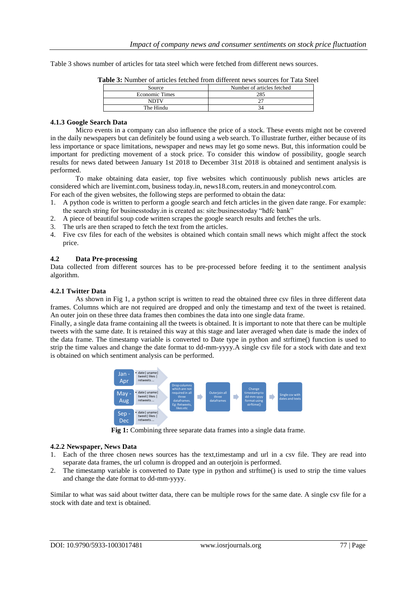Table 3 shows number of articles for tata steel which were fetched from different news sources.

| Source                | Number of articles fetched |  |  |  |  |
|-----------------------|----------------------------|--|--|--|--|
| <b>Economic Times</b> |                            |  |  |  |  |
| NDTV                  |                            |  |  |  |  |
| The Hindu             |                            |  |  |  |  |
|                       |                            |  |  |  |  |

**Table 3:** Number of articles fetched from different news sources for Tata Steel

## **4.1.3 Google Search Data**

Micro events in a company can also influence the price of a stock. These events might not be covered in the daily newspapers but can definitely be found using a web search. To illustrate further, either because of its less importance or space limitations, newspaper and news may let go some news. But, this information could be important for predicting movement of a stock price. To consider this window of possibility, google search results for news dated between January 1st 2018 to December 31st 2018 is obtained and sentiment analysis is performed.

To make obtaining data easier, top five websites which continuously publish news articles are considered which are livemint.com, business today.in, news18.com, reuters.in and moneycontrol.com.

- For each of the given websites, the following steps are performed to obtain the data:
- 1. A python code is written to perform a google search and fetch articles in the given date range. For example: the search string for businesstoday.in is created as: site:businesstoday "hdfc bank"
- 2. A piece of beautiful soup code written scrapes the google search results and fetches the urls.
- 3. The urls are then scraped to fetch the text from the articles.
- 4. Five csv files for each of the websites is obtained which contain small news which might affect the stock price.

## **4.2 Data Pre-processing**

Data collected from different sources has to be pre-processed before feeding it to the sentiment analysis algorithm.

## **4.2.1 Twitter Data**

As shown in Fig 1, a python script is written to read the obtained three csv files in three different data frames. Columns which are not required are dropped and only the timestamp and text of the tweet is retained. An outer join on these three data frames then combines the data into one single data frame.

Finally, a single data frame containing all the tweets is obtained. It is important to note that there can be multiple tweets with the same date. It is retained this way at this stage and later averaged when date is made the index of the data frame. The timestamp variable is converted to Date type in python and strftime() function is used to strip the time values and change the date format to dd-mm-yyyy.A single csv file for a stock with date and text is obtained on which sentiment analysis can be performed.



**Fig 1:** Combining three separate data frames into a single data frame.

## **4.2.2 Newspaper, News Data**

- 1. Each of the three chosen news sources has the text,timestamp and url in a csv file. They are read into separate data frames, the url column is dropped and an outerjoin is performed.
- 2. The timestamp variable is converted to Date type in python and strftime() is used to strip the time values and change the date format to dd-mm-yyyy.

Similar to what was said about twitter data, there can be multiple rows for the same date. A single csv file for a stock with date and text is obtained.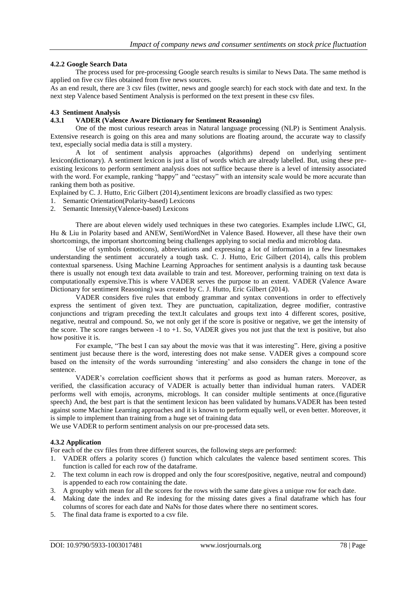## **4.2.2 Google Search Data**

The process used for pre-processing Google search results is similar to News Data. The same method is applied on five csv files obtained from five news sources.

As an end result, there are 3 csv files (twitter, news and google search) for each stock with date and text. In the next step Valence based Sentiment Analysis is performed on the text present in these csv files.

## **4.3 Sentiment Analysis**

## **4.3.1 VADER (Valence Aware Dictionary for Sentiment Reasoning)**

One of the most curious research areas in Natural language processing (NLP) is Sentiment Analysis. Extensive research is going on this area and many solutions are floating around, the accurate way to classify text, especially social media data is still a mystery.

A lot of sentiment analysis approaches (algorithms) depend on underlying sentiment lexicon(dictionary). A sentiment lexicon is just a list of words which are already labelled. But, using these preexisting lexicons to perform sentiment analysis does not suffice because there is a level of intensity associated with the word. For example, ranking "happy" and "ecstasy" with an intensity scale would be more accurate than ranking them both as positive.

Explained by C. J. Hutto, Eric Gilbert (2014),sentiment lexicons are broadly classified as two types:

- 1. Semantic Orientation(Polarity-based) Lexicons
- 2. Semantic Intensity(Valence-based) Lexicons

There are about eleven widely used techniques in these two categories. Examples include LIWC, GI, Hu & Liu in Polarity based and ANEW, SentiWordNet in Valence Based. However, all these have their own shortcomings, the important shortcoming being challenges applying to social media and microblog data.

Use of symbols (emoticons), abbreviations and expressing a lot of information in a few linesmakes understanding the sentiment accurately a tough task. C. J. Hutto, Eric Gilbert (2014), calls this problem contextual sparseness. Using Machine Learning Approaches for sentiment analysis is a daunting task because there is usually not enough text data available to train and test. Moreover, performing training on text data is computationally expensive.This is where VADER serves the purpose to an extent. VADER (Valence Aware Dictionary for sentiment Reasoning) was created by C. J. Hutto, Eric Gilbert (2014).

VADER considers five rules that embody grammar and syntax conventions in order to effectively express the sentiment of given text. They are punctuation, capitalization, degree modifier, contrastive conjunctions and trigram preceding the text.It calculates and groups text into 4 different scores, positive, negative, neutral and compound. So, we not only get if the score is positive or negative, we get the intensity of the score. The score ranges between -1 to +1. So, VADER gives you not just that the text is positive, but also how positive it is.

For example, "The best I can say about the movie was that it was interesting". Here, giving a positive sentiment just because there is the word, interesting does not make sense. VADER gives a compound score based on the intensity of the words surrounding "interesting" and also considers the change in tone of the sentence.

VADER's correlation coefficient shows that it performs as good as human raters. Moreover, as verified, the classification accuracy of VADER is actually better than individual human raters. VADER performs well with emojis, acronyms, microblogs. It can consider multiple sentiments at once.(figurative speech) And, the best part is that the sentiment lexicon has been validated by humans.VADER has been tested against some Machine Learning approaches and it is known to perform equally well, or even better. Moreover, it is simple to implement than training from a huge set of training data

We use VADER to perform sentiment analysis on our pre-processed data sets.

## **4.3.2 Application**

For each of the csv files from three different sources, the following steps are performed:

- 1. VADER offers a polarity scores () function which calculates the valence based sentiment scores. This function is called for each row of the dataframe.
- 2. The text column in each row is dropped and only the four scores(positive, negative, neutral and compound) is appended to each row containing the date.
- 3. A groupby with mean for all the scores for the rows with the same date gives a unique row for each date.
- 4. Making date the index and Re indexing for the missing dates gives a final dataframe which has four columns of scores for each date and NaNs for those dates where there no sentiment scores.
- 5. The final data frame is exported to a csv file.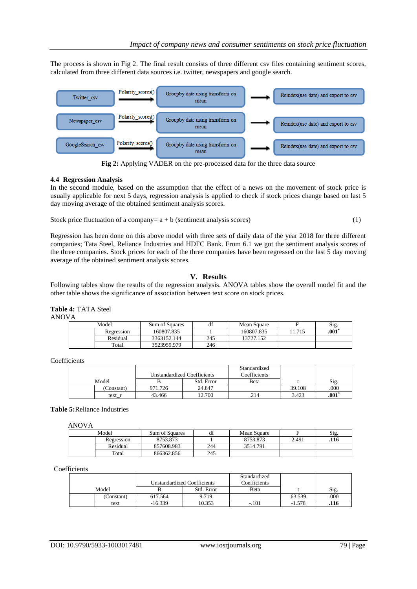The process is shown in Fig 2. The final result consists of three different csv files containing sentiment scores, calculated from three different data sources i.e. twitter, newspapers and google search.



**Fig 2:** Applying VADER on the pre-processed data for the three data source

## **4.4 Regression Analysis**

In the second module, based on the assumption that the effect of a news on the movement of stock price is usually applicable for next 5 days, regression analysis is applied to check if stock prices change based on last 5 day moving average of the obtained sentiment analysis scores.

Stock price fluctuation of a company=  $a + b$  (sentiment analysis scores) (1)

Regression has been done on this above model with three sets of daily data of the year 2018 for three different companies; Tata Steel, Reliance Industries and HDFC Bank. From 6.1 we got the sentiment analysis scores of the three companies. Stock prices for each of the three companies have been regressed on the last 5 day moving average of the obtained sentiment analysis scores.

# **V. Results**

Following tables show the results of the regression analysis. ANOVA tables show the overall model fit and the other table shows the significance of association between text score on stock prices.

**Table 4:** TATA Steel ANOVA

| . |            |                |     |             |       |      |
|---|------------|----------------|-----|-------------|-------|------|
|   | Model      | Sum of Squares | df  | Mean Square | Е     | Sig. |
|   | Regression | 160807.835     |     | 160807.835  | 1.715 | .001 |
|   | Residual   | 3363152.144    | 245 | 13727.152   |       |      |
|   | Total      | 3523959.979    | 246 |             |       |      |

Coefficients

|            |         |                             | Standardized |        |      |
|------------|---------|-----------------------------|--------------|--------|------|
|            |         | Unstandardized Coefficients | Coefficients |        |      |
| Model      |         | Std. Error                  | Beta         |        | Sig. |
| (Constant) | 971.726 | 24.847                      |              | 39.108 | .000 |
| text r     | 43.466  | 12.700                      | .214         | 3.423  | .001 |

**Table 5:**Reliance Industries

ANOVA

| Model      | Sum of Squares |     | Mean Square |       | Sig. |
|------------|----------------|-----|-------------|-------|------|
| Regression | 8753.873       |     | 8753.873    | 2.491 | .116 |
| Residual   | 857608.983     | 244 | 3514.791    |       |      |
| Total      | 866362.856     | 245 |             |       |      |

#### Coefficients

|           |                                    |            | Standardized |          |      |
|-----------|------------------------------------|------------|--------------|----------|------|
|           | <b>Unstandardized Coefficients</b> |            | Coefficients |          |      |
| Model     |                                    | Std. Error | Beta         |          | Sig. |
| Constant) | 617.564                            | 9.719      |              | 63.539   | .000 |
| text      | $-16.339$                          | 10.353     | $-.101$      | $-1.578$ | .116 |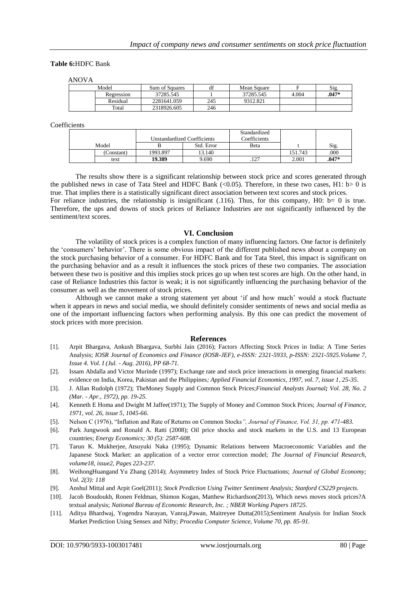#### **Table 6:**HDFC Bank

ANOVA

| Model      | Sum of Squares |     | Mean Square |       | Sig.    |
|------------|----------------|-----|-------------|-------|---------|
| Regression | 37285.545      |     | 37285.545   | 4.004 | $.047*$ |
| Residual   | 2281641.059    | 245 | 9312.821    |       |         |
| Total      | 2318926.605    | 246 |             |       |         |

#### Coefficients

|            |                                    |            | Standardized |         |       |
|------------|------------------------------------|------------|--------------|---------|-------|
|            | <b>Unstandardized Coefficients</b> |            | Coefficients |         |       |
| Model      |                                    | Std. Error | Beta         |         | Sig.  |
| (Constant) | 1993.897                           | 13.140     |              | 151.743 | .000  |
| text       | 19.389                             | 9.690      | $-1$         | 2.001   | .047* |

The results show there is a significant relationship between stock price and scores generated through the published news in case of Tata Steel and HDFC Bank ( $\langle 0.05 \rangle$ ). Therefore, in these two cases, H1: b> 0 is true. That implies there is a statistically significant direct association between text scores and stock prices. For reliance industries, the relationship is insignificant (.116). Thus, for this company, H0: b= 0 is true. Therefore, the ups and downs of stock prices of Reliance Industries are not significantly influenced by the sentiment/text scores.

#### **VI. Conclusion**

The volatility of stock prices is a complex function of many influencing factors. One factor is definitely the "consumers" behavior". There is some obvious impact of the different published news about a company on the stock purchasing behavior of a consumer. For HDFC Bank and for Tata Steel, this impact is significant on the purchasing behavior and as a result it influences the stock prices of these two companies. The association between these two is positive and this implies stock prices go up when test scores are high. On the other hand, in case of Reliance Industries this factor is weak; it is not significantly influencing the purchasing behavior of the consumer as well as the movement of stock prices.

Although we cannot make a strong statement yet about "if and how much" would a stock fluctuate when it appears in news and social media, we should definitely consider sentiments of news and social media as one of the important influencing factors when performing analysis. By this one can predict the movement of stock prices with more precision.

#### **References**

- [1]. Arpit Bhargava, Ankush Bhargava, Surbhi Jain (2016); Factors Affecting Stock Prices in India: A Time Series Analysis; *IOSR Journal of Economics and Finance (IOSR-JEF), e-ISSN: 2321-5933, p-ISSN: 2321-5925.Volume 7, Issue 4. Vol. I (Jul. - Aug. 2016), PP 68-71.*
- [2]. Issam Abdalla and Victor Murinde (1997); Exchange rate and stock price interactions in emerging financial markets: evidence on India, Korea, Pakistan and the Philippines*; [Applied Financial Economics,](https://econpapers.repec.org/article/tafapfiec/) 1997, vol. 7, issue 1, 25-35*.
- [3]. J. Allan Rudolph (1972); TheMoney Supply and Common Stock Prices;*Financial Analysts Journal; Vol. 28, No. 2 (Mar. - Apr., 1972), pp. 19-25.*
- [4]. Kenneth E Homa and Dwight M Jaffee(1971); The Supply of Money and Common Stock Prices; *[Journal of Finance,](https://econpapers.repec.org/article/blajfinan/) 1971, vol. 26, issue 5, 1045-66.*
- [5]. Nelson C (1976), "Inflation and Rate of Returns on Common Stocks*", Journal of Finance, Vol. 31, pp. 471-483.*
- [6]. Park Jungwook and Ronald A. Ratti (2008); Oil price shocks and stock markets in the U.S. and 13 European countries; *Energy Economics; 30 (5): 2587-608.*
- [7]. Tarun K. Mukherjee, Atsuyuki Naka (1995); Dynamic Relations between Macroeconomic Variables and the Japanese Stock Market: an application of a vector error correction model; *The Journal of Financial Research, [volume18,](https://onlinelibrary.wiley.com/toc/14756803/1995/18/2) issue2, Pages 223-237.*
- [8]. WeihongHuangand Yu Zhang (2014); Asymmetry Index of Stock Price Fluctuations; *Journal of Global Economy; Vol. 2(3): 118*
- [9]. Anshul Mittal and Arpit Goel(2011); *Stock Prediction Using Twitter Sentiment Analysis; Stanford CS229 projects.*
- [10]. Jacob Boudoukh, Ronen Feldman, Shimon Kogan, Matthew Richardson(2013), Which news moves stock prices?A textual analysis; *National Bureau of Economic Research, Inc. ; NBER Working Papers 18725.*
- [11]. Aditya Bhardwaj, Yogendra Narayan, Vanraj,Pawan, Maitreyee Dutta(2015);Sentiment Analysis for Indian Stock Market Prediction Using Sensex and Nifty; *Procedia Computer Science, Volume 70, pp. 85-91.*